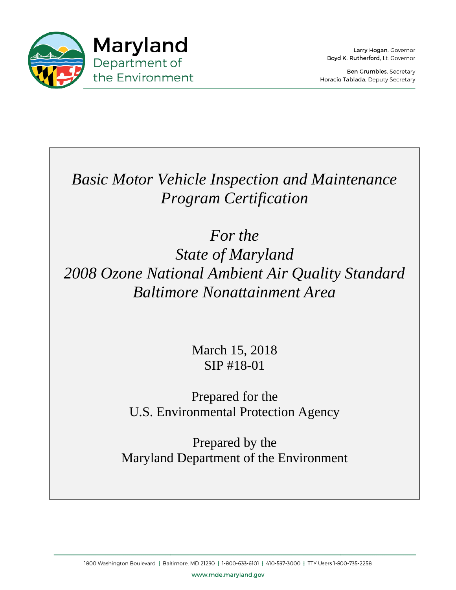

Larry Hogan, Governor Boyd K. Rutherford, Lt. Governor

Ben Grumbles, Secretary Horacio Tablada, Deputy Secretary

**Basic Motor Vehicle Inspection and Maintenance** *Program Certification* 

2008 Ozone National Ambient Air Quality Standard *Baltimore Nonattainment Area AreaFor the State of Maryland*  Pretion and Maintenance<br>*rtification<br>he<br>aryland<br>ent Air Quality Standar<br>tainment Area<br>, 2018<br>3-01<br>for the<br>Protection Agency<br>by the* 

March 15, 2018 SIP #18-01

U.S. Environmental Protection Agency Prepared for the

Maryland Department of the Environment Prepared by the

www.mde.maryland.gov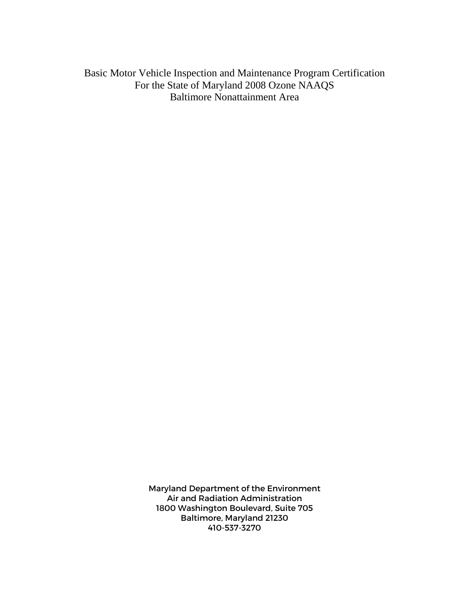Basic Motor Vehicle Inspection and Maintenance Program Certification For the State of Maryland 2008 Ozone NAAQS Baltimore Nonattainment Area

> Maryland Department of the Environment Air and Radiation Administration 1800 Washington Boulevard, Suite 705 Baltimore, Maryland 21230 410-537-3270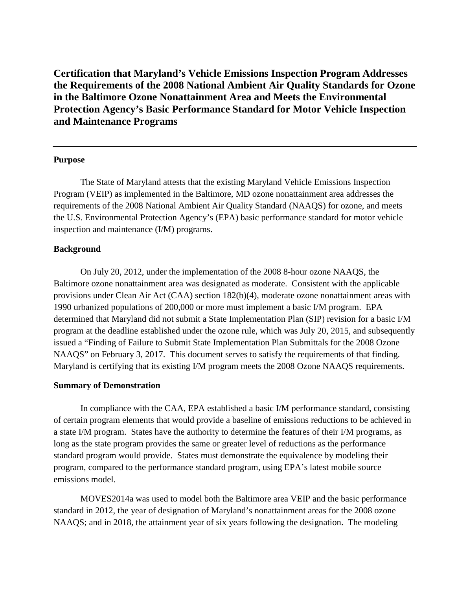**Certification that Maryland's Vehicle Emissions Inspection Program Addresses the Requirements of the 2008 National Ambient Air Quality Standards for Ozone in the Baltimore Ozone Nonattainment Area and Meets the Environmental Protection Agency's Basic Performance Standard for Motor Vehicle Inspection and Maintenance Programs**

### **Purpose**

The State of Maryland attests that the existing Maryland Vehicle Emissions Inspection Program (VEIP) as implemented in the Baltimore, MD ozone nonattainment area addresses the requirements of the 2008 National Ambient Air Quality Standard (NAAQS) for ozone, and meets the U.S. Environmental Protection Agency's (EPA) basic performance standard for motor vehicle inspection and maintenance (I/M) programs.

### **Background**

On July 20, 2012, under the implementation of the 2008 8-hour ozone NAAQS, the Baltimore ozone nonattainment area was designated as moderate. Consistent with the applicable provisions under Clean Air Act (CAA) section 182(b)(4), moderate ozone nonattainment areas with 1990 urbanized populations of 200,000 or more must implement a basic I/M program. EPA determined that Maryland did not submit a State Implementation Plan (SIP) revision for a basic I/M program at the deadline established under the ozone rule, which was July 20, 2015, and subsequently issued a "Finding of Failure to Submit State Implementation Plan Submittals for the 2008 Ozone NAAQS" on February 3, 2017. This document serves to satisfy the requirements of that finding. Maryland is certifying that its existing I/M program meets the 2008 Ozone NAAQS requirements.

#### **Summary of Demonstration**

In compliance with the CAA, EPA established a basic I/M performance standard, consisting of certain program elements that would provide a baseline of emissions reductions to be achieved in a state I/M program. States have the authority to determine the features of their I/M programs, as long as the state program provides the same or greater level of reductions as the performance standard program would provide. States must demonstrate the equivalence by modeling their program, compared to the performance standard program, using EPA's latest mobile source emissions model.

MOVES2014a was used to model both the Baltimore area VEIP and the basic performance standard in 2012, the year of designation of Maryland's nonattainment areas for the 2008 ozone NAAQS; and in 2018, the attainment year of six years following the designation. The modeling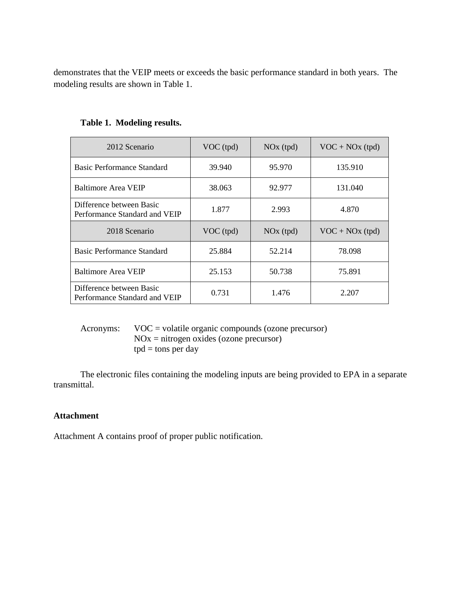demonstrates that the VEIP meets or exceeds the basic performance standard in both years. The modeling results are shown in Table 1.

| 2012 Scenario                                             | $VOC$ (tpd) | $NOx$ (tpd) | $VOC + NOx$ (tpd) |
|-----------------------------------------------------------|-------------|-------------|-------------------|
| Basic Performance Standard                                | 39.940      | 95.970      | 135.910           |
| Baltimore Area VEIP                                       | 38.063      | 92.977      | 131.040           |
| Difference between Basic<br>Performance Standard and VEIP | 1.877       | 2.993       | 4.870             |
| 2018 Scenario                                             | $VOC$ (tpd) | $NOx$ (tpd) | $VOC + NOx$ (tpd) |
| Basic Performance Standard                                | 25.884      | 52.214      | 78.098            |
| Baltimore Area VEIP                                       | 25.153      | 50.738      | 75.891            |
| Difference between Basic<br>Performance Standard and VEIP | 0.731       | 1.476       | 2.207             |

# **Table 1. Modeling results.**

Acronyms: VOC = volatile organic compounds (ozone precursor)  $NOx = nitrogen oxides (ozone precursor)$  $tpd = tons per day$ 

The electronic files containing the modeling inputs are being provided to EPA in a separate transmittal.

# **Attachment**

Attachment A contains proof of proper public notification.